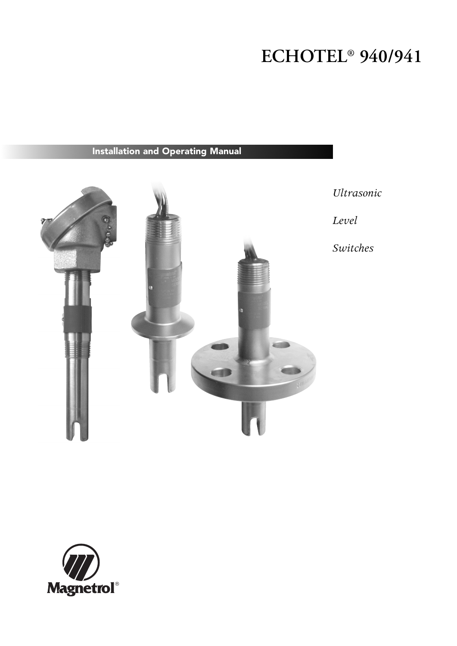# **ECHOTEL® 940/941**

# **Installation and Operating Manual**



*Ultrasonic*

*Level*

*Switches*

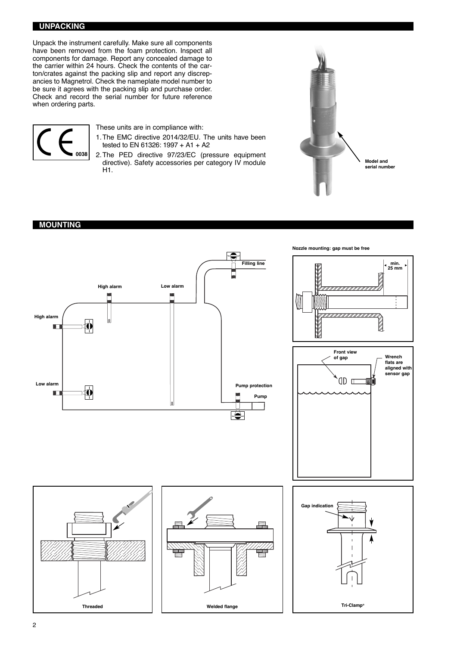#### **UNPACKING**

Unpack the instrument carefully. Make sure all components have been removed from the foam protection. Inspect all components for damage. Report any concealed damage to the carrier within 24 hours. Check the contents of the carton/crates against the packing slip and report any discrepancies to Magnetrol. Check the nameplate model number to be sure it agrees with the packing slip and purchase order. Check and record the serial number for future reference when ordering parts.



These units are in compliance with:

- 1.The EMC directive 2014/32/EU. The units have been tested to EN 61326: 1997 + A1 + A2
- 2.The PED directive 97/23/EC (pressure equipment directive). Safety accessories per category IV module H1.



#### **MOUNTING**

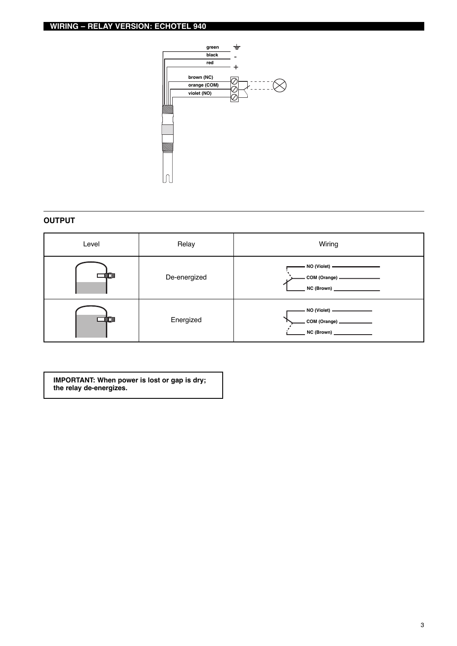

#### **OUTPUT**

| Level | Relay        | Wiring                                                                             |
|-------|--------------|------------------------------------------------------------------------------------|
|       | De-energized | NO (Violet) <u>___________________</u><br>NC(Brown)                                |
|       | Energized    | - NO (Violet) ————————<br>-<br>- COM (Orange) ———————<br>NC (Brown) ______________ |

**IMPORTANT: When power is lost or gap is dry; the relay de-energizes.**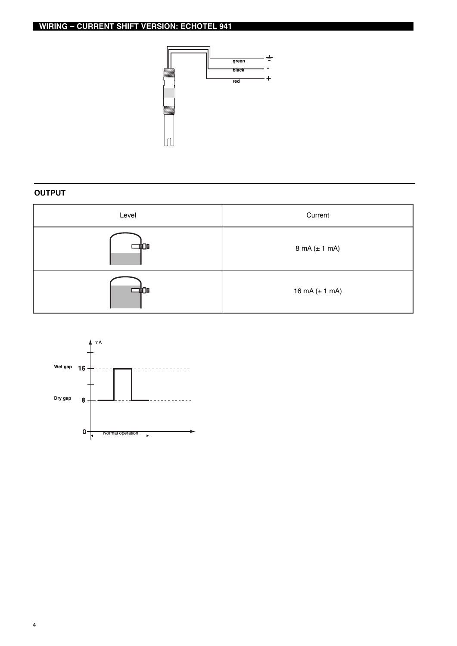

### **OUTPUT**

| Level | Current                           |  |
|-------|-----------------------------------|--|
|       | $8 \text{ mA} (\pm 1 \text{ mA})$ |  |
| n     | 16 mA $(\pm 1$ mA)                |  |

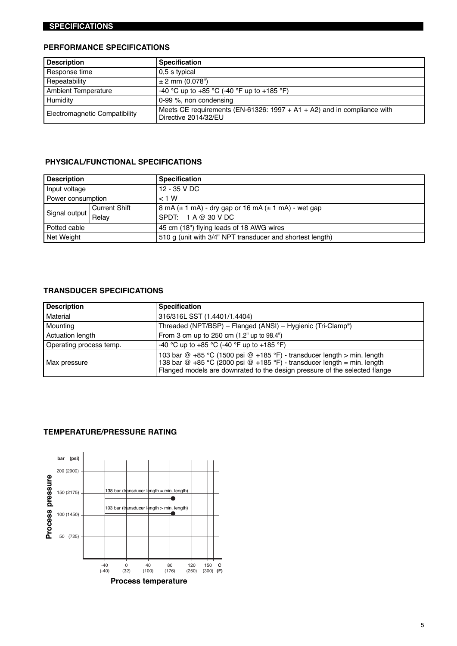#### **SPECIFICATIONS**

### **PERFORMANCE SPECIFICATIONS**

| <b>Description</b>            | <b>Specification</b>                                                                            |  |
|-------------------------------|-------------------------------------------------------------------------------------------------|--|
| Response time                 | 0.5 s typical                                                                                   |  |
| Repeatability                 | $± 2$ mm (0.078")                                                                               |  |
| <b>Ambient Temperature</b>    | -40 °C up to +85 °C (-40 °F up to +185 °F)                                                      |  |
| Humidity                      | $0-99$ %, non condensing                                                                        |  |
| Electromagnetic Compatibility | Meets CE requirements (EN-61326: 1997 + A1 + A2) and in compliance with<br>Directive 2014/32/EU |  |

#### **PHYSICAL/FUNCTIONAL SPECIFICATIONS**

| <b>Description</b> |                      | <b>Specification</b>                                        |  |
|--------------------|----------------------|-------------------------------------------------------------|--|
| Input voltage      |                      | 12 - 35 V DC                                                |  |
| Power consumption  |                      | < 1 W                                                       |  |
| Signal output      | <b>Current Shift</b> | 8 mA $(\pm 1$ mA) - dry gap or 16 mA $(\pm 1$ mA) - wet gap |  |
|                    | Relay                | SPDT: $1 A @ 30 VDC$                                        |  |
| Potted cable       |                      | 45 cm (18") flying leads of 18 AWG wires                    |  |
| Net Weight         |                      | 510 g (unit with 3/4" NPT transducer and shortest length)   |  |

# **TRANSDUCER SPECIFICATIONS**

| <b>Description</b>                                                                                                                                                                                                                                    | <b>Specification</b>                                        |  |
|-------------------------------------------------------------------------------------------------------------------------------------------------------------------------------------------------------------------------------------------------------|-------------------------------------------------------------|--|
| Material                                                                                                                                                                                                                                              | 316/316L SST (1.4401/1.4404)                                |  |
| Mounting                                                                                                                                                                                                                                              | Threaded (NPT/BSP) - Flanged (ANSI) - Hygienic (Tri-Clamp®) |  |
| <b>Actuation length</b><br>From 3 cm up to 250 cm (1.2" up to 98.4")                                                                                                                                                                                  |                                                             |  |
| Operating process temp.                                                                                                                                                                                                                               | -40 °C up to +85 °C (-40 °F up to +185 °F)                  |  |
| 103 bar @ +85 °C (1500 psi @ +185 °F) - transducer length > min. length<br>138 bar $@ +85 °C$ (2000 psi $@ +185 °F$ ) - transducer length = min. length<br>Max pressure<br>Flanged models are downrated to the design pressure of the selected flange |                                                             |  |

#### **TEMPERATURE/PRESSURE RATING**

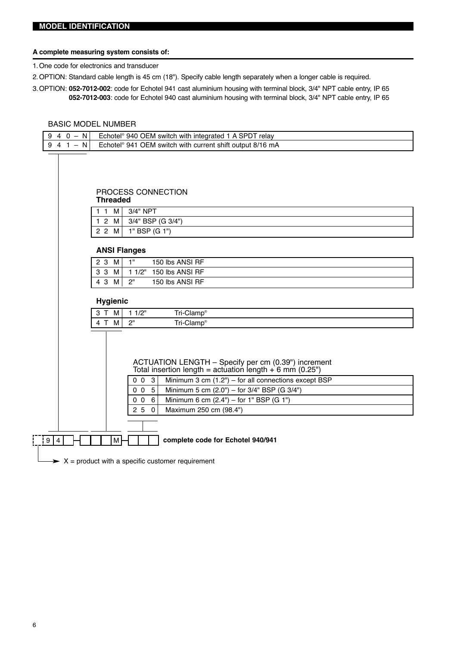#### **A complete measuring system consists of:**

1.One code for electronics and transducer

- 2.OPTION: Standard cable length is 45 cm (18"). Specify cable length separately when a longer cable is required.
- 3.OPTION: **052-7012-002**: code for Echotel 941 cast aluminium housing with terminal block, 3/4" NPT cable entry, IP 65 **052-7012-003**: code for Echotel 940 cast aluminium housing with terminal block, 3/4" NPT cable entry, IP 65

#### BASIC MODEL NUMBER

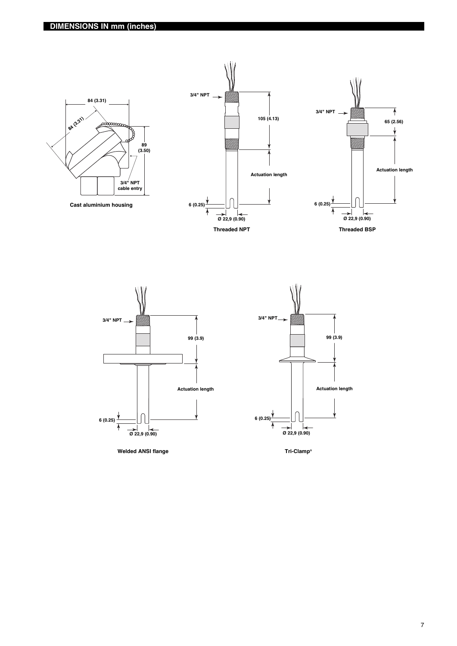



**Welded ANSI flange**



**Tri-Clamp®**